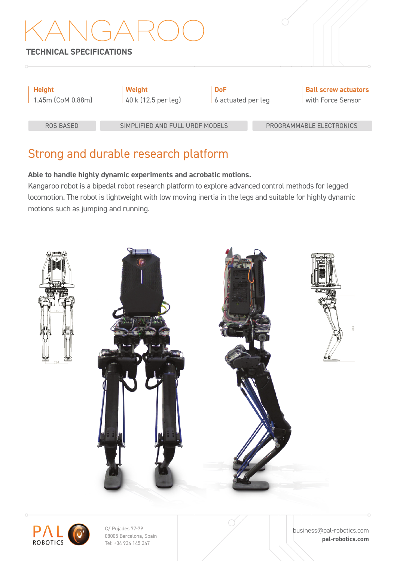### **TECHNICAL SPECIFICATIONS**

| <b>Height</b><br>1.45m (CoM 0.88m) | Weight<br>40 k (12.5 per leg) | <b>DoF</b><br>6 actuated per leg |  | <b>Ball screw actuators</b><br>with Force Sensor |  |
|------------------------------------|-------------------------------|----------------------------------|--|--------------------------------------------------|--|
| ROS BASED                          |                               | SIMPLIFIED AND FULL URDE MODELS  |  | PROGRAMMABLE ELECTRONICS                         |  |
|                                    |                               |                                  |  |                                                  |  |

## Strong and durable research platform

#### **Able to handle highly dynamic experiments and acrobatic motions.**

Kangaroo robot is a bipedal robot research platform to explore advanced control methods for legged locomotion. The robot is lightweight with low moving inertia in the legs and suitable for highly dynamic motions such as jumping and running.





C/ Pujades 77-79 08005 Barcelona, Spain Tel: +34 934 145 347

business@pal-robotics.com **pal-robotics.com**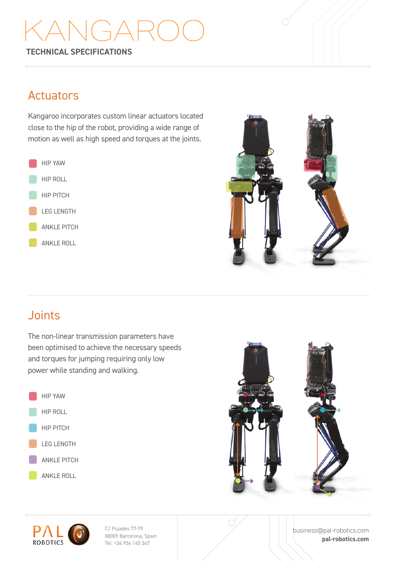# $\overrightarrow{a}$

**TECHNICAL SPECIFICATIONS**

### Actuators

Kangaroo incorporates custom linear actuators located close to the hip of the robot, providing a wide range of motion as well as high speed and torques at the joints.





# Joints

The non-linear transmission parameters have been optimised to achieve the necessary speeds and torques for jumping requiring only low power while standing and walking.







C/ Pujades 77-79 08005 Barcelona, Spain Tel: +34 934 145 347

business@pal-robotics.com **pal-robotics.com**